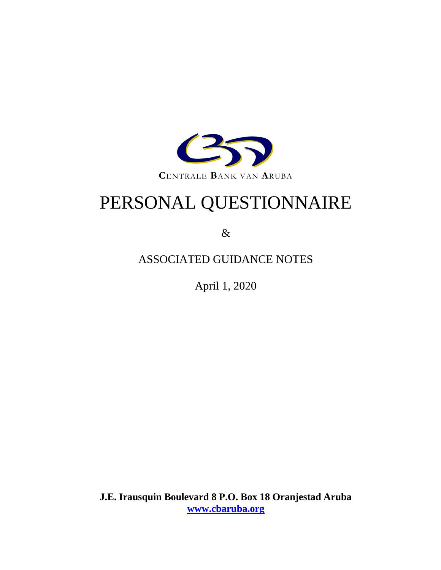

# PERSONAL QUESTIONNAIRE

&

# ASSOCIATED GUIDANCE NOTES

April 1, 2020

**J.E. Irausquin Boulevard 8 P.O. Box 18 Oranjestad Aruba [www.cbaruba.org](http://www.cbaruba.org/)**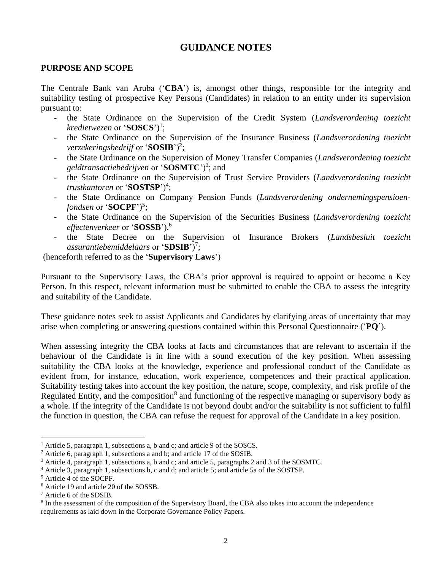# **GUIDANCE NOTES**

#### **PURPOSE AND SCOPE**

The Centrale Bank van Aruba ('**CBA**') is, amongst other things, responsible for the integrity and suitability testing of prospective Key Persons (Candidates) in relation to an entity under its supervision pursuant to:

- the State Ordinance on the Supervision of the Credit System (*Landsverordening toezicht kredietwezen* or '**SOSCS**') 1 ;
- the State Ordinance on the Supervision of the Insurance Business (*Landsverordening toezicht*  verzekeringsbedrijf or '**SOSIB**')<sup>2</sup>;
- the State Ordinance on the Supervision of Money Transfer Companies (*Landsverordening toezicht geldtransactiebedrijven* or '**SOSMTC**')<sup>3</sup> ; and
- the State Ordinance on the Supervision of Trust Service Providers (*Landsverordening toezicht trustkantoren* or '**SOSTSP**')<sup>4</sup> ;
- the State Ordinance on Company Pension Funds (*Landsverordening ondernemingspensioen*fondsen or '**SOCPF**')<sup>5</sup>;
- the State Ordinance on the Supervision of the Securities Business (*Landsverordening toezicht effectenverkeer* or '**SOSSB**'). 6
- the State Decree on the Supervision of Insurance Brokers (*Landsbesluit toezicht assurantiebemiddelaars* or 'SDSIB')<sup>7</sup>;

(henceforth referred to as the '**Supervisory Laws**')

Pursuant to the Supervisory Laws, the CBA's prior approval is required to appoint or become a Key Person. In this respect, relevant information must be submitted to enable the CBA to assess the integrity and suitability of the Candidate.

These guidance notes seek to assist Applicants and Candidates by clarifying areas of uncertainty that may arise when completing or answering questions contained within this Personal Questionnaire ('**PQ**').

When assessing integrity the CBA looks at facts and circumstances that are relevant to ascertain if the behaviour of the Candidate is in line with a sound execution of the key position. When assessing suitability the CBA looks at the knowledge, experience and professional conduct of the Candidate as evident from, for instance, education, work experience, competences and their practical application. Suitability testing takes into account the key position, the nature, scope, complexity, and risk profile of the Regulated Entity, and the composition<sup>8</sup> and functioning of the respective managing or supervisory body as a whole. If the integrity of the Candidate is not beyond doubt and/or the suitability is not sufficient to fulfil the function in question, the CBA can refuse the request for approval of the Candidate in a key position.

<sup>&</sup>lt;sup>1</sup> Article 5, paragraph 1, subsections a, b and c; and article 9 of the SOSCS.

<sup>&</sup>lt;sup>2</sup> Article 6, paragraph 1, subsections a and b; and article 17 of the SOSIB.

<sup>3</sup> Article 4, paragraph 1, subsections a, b and c; and article 5, paragraphs 2 and 3 of the SOSMTC.

<sup>4</sup> Article 3, paragraph 1, subsections b, c and d; and article 5; and article 5a of the SOSTSP.

<sup>5</sup> Article 4 of the SOCPF.

<sup>6</sup> Article 19 and article 20 of the SOSSB.

<sup>7</sup> Article 6 of the SDSIB.

<sup>&</sup>lt;sup>8</sup> In the assessment of the composition of the Supervisory Board, the CBA also takes into account the independence requirements as laid down in the Corporate Governance Policy Papers.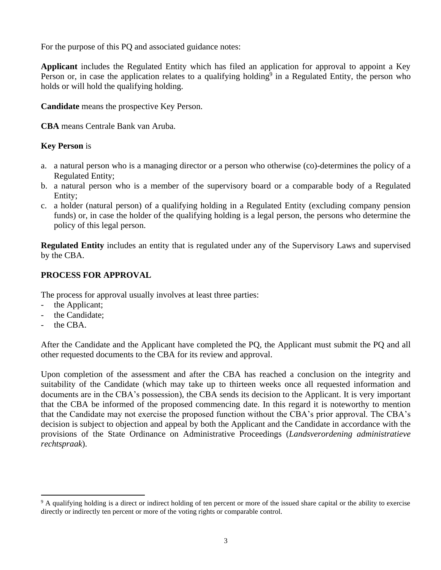For the purpose of this PQ and associated guidance notes:

**Applicant** includes the Regulated Entity which has filed an application for approval to appoint a Key Person or, in case the application relates to a qualifying holding<sup>9</sup> in a Regulated Entity, the person who holds or will hold the qualifying holding.

**Candidate** means the prospective Key Person.

**CBA** means Centrale Bank van Aruba.

#### **Key Person** is

- a. a natural person who is a managing director or a person who otherwise (co)-determines the policy of a Regulated Entity;
- b. a natural person who is a member of the supervisory board or a comparable body of a Regulated Entity;
- c. a holder (natural person) of a qualifying holding in a Regulated Entity (excluding company pension funds) or, in case the holder of the qualifying holding is a legal person, the persons who determine the policy of this legal person.

**Regulated Entity** includes an entity that is regulated under any of the Supervisory Laws and supervised by the CBA.

## **PROCESS FOR APPROVAL**

The process for approval usually involves at least three parties:

- the Applicant;
- the Candidate;
- the CBA.

After the Candidate and the Applicant have completed the PQ, the Applicant must submit the PQ and all other requested documents to the CBA for its review and approval.

Upon completion of the assessment and after the CBA has reached a conclusion on the integrity and suitability of the Candidate (which may take up to thirteen weeks once all requested information and documents are in the CBA's possession), the CBA sends its decision to the Applicant. It is very important that the CBA be informed of the proposed commencing date. In this regard it is noteworthy to mention that the Candidate may not exercise the proposed function without the CBA's prior approval. The CBA's decision is subject to objection and appeal by both the Applicant and the Candidate in accordance with the provisions of the State Ordinance on Administrative Proceedings (*Landsverordening administratieve rechtspraak*).

<sup>&</sup>lt;sup>9</sup> A qualifying holding is a direct or indirect holding of ten percent or more of the issued share capital or the ability to exercise directly or indirectly ten percent or more of the voting rights or comparable control.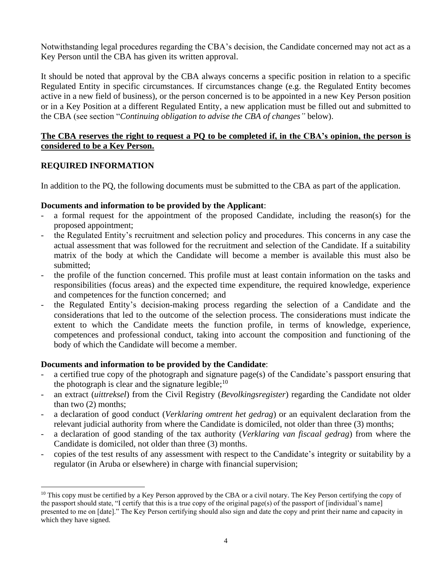Notwithstanding legal procedures regarding the CBA's decision, the Candidate concerned may not act as a Key Person until the CBA has given its written approval.

It should be noted that approval by the CBA always concerns a specific position in relation to a specific Regulated Entity in specific circumstances. If circumstances change (e.g. the Regulated Entity becomes active in a new field of business), or the person concerned is to be appointed in a new Key Person position or in a Key Position at a different Regulated Entity, a new application must be filled out and submitted to the CBA (see section "*Continuing obligation to advise the CBA of changes"* below).

### **The CBA reserves the right to request a PQ to be completed if, in the CBA's opinion, the person is considered to be a Key Person.**

### **REQUIRED INFORMATION**

In addition to the PQ, the following documents must be submitted to the CBA as part of the application.

#### **Documents and information to be provided by the Applicant**:

- a formal request for the appointment of the proposed Candidate, including the reason(s) for the proposed appointment;
- the Regulated Entity's recruitment and selection policy and procedures. This concerns in any case the actual assessment that was followed for the recruitment and selection of the Candidate. If a suitability matrix of the body at which the Candidate will become a member is available this must also be submitted;
- the profile of the function concerned. This profile must at least contain information on the tasks and responsibilities (focus areas) and the expected time expenditure, the required knowledge, experience and competences for the function concerned; and
- the Regulated Entity's decision-making process regarding the selection of a Candidate and the considerations that led to the outcome of the selection process. The considerations must indicate the extent to which the Candidate meets the function profile, in terms of knowledge, experience, competences and professional conduct, taking into account the composition and functioning of the body of which the Candidate will become a member.

#### **Documents and information to be provided by the Candidate**:

- a certified true copy of the photograph and signature page(s) of the Candidate's passport ensuring that the photograph is clear and the signature legible;  $10$
- an extract (*uittreksel*) from the Civil Registry (*Bevolkingsregister*) regarding the Candidate not older than two (2) months;
- a declaration of good conduct (*Verklaring omtrent het gedrag*) or an equivalent declaration from the relevant judicial authority from where the Candidate is domiciled, not older than three (3) months;
- a declaration of good standing of the tax authority (*Verklaring van fiscaal gedrag*) from where the Candidate is domiciled, not older than three (3) months.
- copies of the test results of any assessment with respect to the Candidate's integrity or suitability by a regulator (in Aruba or elsewhere) in charge with financial supervision;

 $10$  This copy must be certified by a Key Person approved by the CBA or a civil notary. The Key Person certifying the copy of the passport should state, "I certify that this is a true copy of the original page(s) of the passport of [individual's name] presented to me on [date]." The Key Person certifying should also sign and date the copy and print their name and capacity in which they have signed.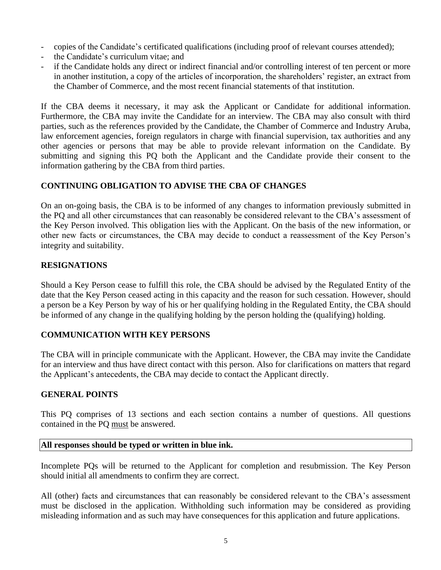- copies of the Candidate's certificated qualifications (including proof of relevant courses attended);
- the Candidate's curriculum vitae; and
- if the Candidate holds any direct or indirect financial and/or controlling interest of ten percent or more in another institution, a copy of the articles of incorporation, the shareholders' register, an extract from the Chamber of Commerce, and the most recent financial statements of that institution.

If the CBA deems it necessary, it may ask the Applicant or Candidate for additional information. Furthermore, the CBA may invite the Candidate for an interview. The CBA may also consult with third parties, such as the references provided by the Candidate, the Chamber of Commerce and Industry Aruba, law enforcement agencies, foreign regulators in charge with financial supervision, tax authorities and any other agencies or persons that may be able to provide relevant information on the Candidate. By submitting and signing this PQ both the Applicant and the Candidate provide their consent to the information gathering by the CBA from third parties.

## **CONTINUING OBLIGATION TO ADVISE THE CBA OF CHANGES**

On an on-going basis, the CBA is to be informed of any changes to information previously submitted in the PQ and all other circumstances that can reasonably be considered relevant to the CBA's assessment of the Key Person involved. This obligation lies with the Applicant. On the basis of the new information, or other new facts or circumstances, the CBA may decide to conduct a reassessment of the Key Person's integrity and suitability.

### **RESIGNATIONS**

Should a Key Person cease to fulfill this role, the CBA should be advised by the Regulated Entity of the date that the Key Person ceased acting in this capacity and the reason for such cessation. However, should a person be a Key Person by way of his or her qualifying holding in the Regulated Entity, the CBA should be informed of any change in the qualifying holding by the person holding the (qualifying) holding.

### **COMMUNICATION WITH KEY PERSONS**

The CBA will in principle communicate with the Applicant. However, the CBA may invite the Candidate for an interview and thus have direct contact with this person. Also for clarifications on matters that regard the Applicant's antecedents, the CBA may decide to contact the Applicant directly.

### **GENERAL POINTS**

This PQ comprises of 13 sections and each section contains a number of questions. All questions contained in the PQ must be answered.

#### **All responses should be typed or written in blue ink.**

Incomplete PQs will be returned to the Applicant for completion and resubmission. The Key Person should initial all amendments to confirm they are correct.

All (other) facts and circumstances that can reasonably be considered relevant to the CBA's assessment must be disclosed in the application. Withholding such information may be considered as providing misleading information and as such may have consequences for this application and future applications.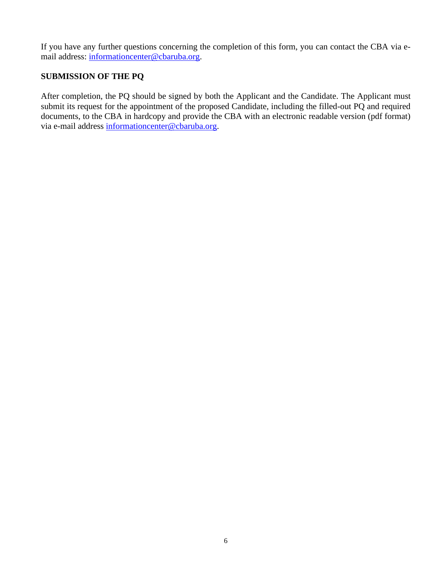If you have any further questions concerning the completion of this form, you can contact the CBA via email address: [informationcenter@cbaruba.org.](mailto:informationcenter@cbaruba.org)

# **SUBMISSION OF THE PQ**

After completion, the PQ should be signed by both the Applicant and the Candidate. The Applicant must submit its request for the appointment of the proposed Candidate, including the filled-out PQ and required documents, to the CBA in hardcopy and provide the CBA with an electronic readable version (pdf format) via e-mail address [informationcenter@cbaruba.org.](mailto:informationcenter@cbaruba.org)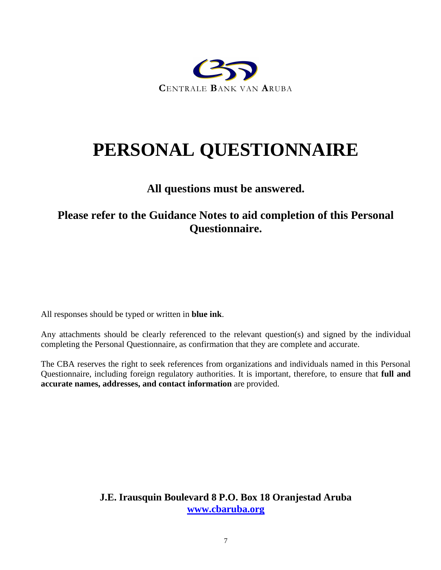

# **PERSONAL QUESTIONNAIRE**

# **All questions must be answered.**

# **Please refer to the Guidance Notes to aid completion of this Personal Questionnaire.**

All responses should be typed or written in **blue ink**.

Any attachments should be clearly referenced to the relevant question(s) and signed by the individual completing the Personal Questionnaire, as confirmation that they are complete and accurate.

The CBA reserves the right to seek references from organizations and individuals named in this Personal Questionnaire, including foreign regulatory authorities. It is important, therefore, to ensure that **full and accurate names, addresses, and contact information** are provided.

> **J.E. Irausquin Boulevard 8 P.O. Box 18 Oranjestad Aruba [www.cbaruba.org](http://www.cbaruba.org/)**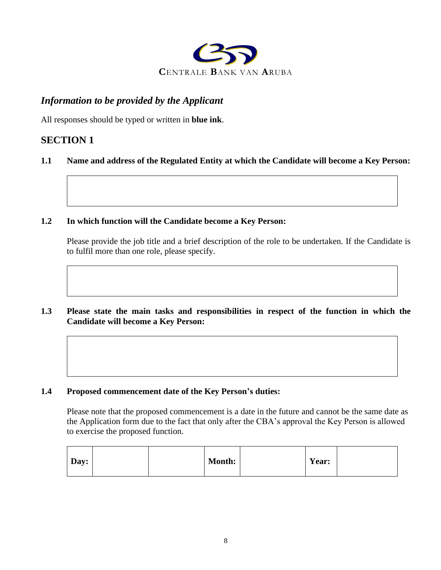

# *Information to be provided by the Applicant*

All responses should be typed or written in **blue ink**.

# **SECTION 1**

### **1.1 Name and address of the Regulated Entity at which the Candidate will become a Key Person:**

#### **1.2 In which function will the Candidate become a Key Person:**

Please provide the job title and a brief description of the role to be undertaken. If the Candidate is to fulfil more than one role, please specify.

**1.3 Please state the main tasks and responsibilities in respect of the function in which the Candidate will become a Key Person:**

#### **1.4 Proposed commencement date of the Key Person's duties:**

Please note that the proposed commencement is a date in the future and cannot be the same date as the Application form due to the fact that only after the CBA's approval the Key Person is allowed to exercise the proposed function.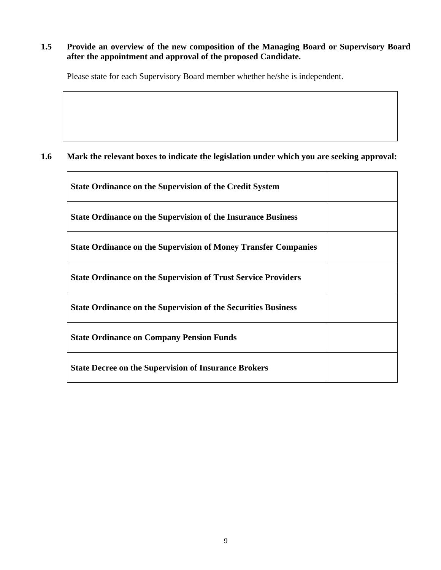### **1.5 Provide an overview of the new composition of the Managing Board or Supervisory Board after the appointment and approval of the proposed Candidate.**

Please state for each Supervisory Board member whether he/she is independent.

## **1.6 Mark the relevant boxes to indicate the legislation under which you are seeking approval:**

 $\mathbf{r}$ 

| <b>State Ordinance on the Supervision of the Credit System</b>        |  |
|-----------------------------------------------------------------------|--|
| <b>State Ordinance on the Supervision of the Insurance Business</b>   |  |
| <b>State Ordinance on the Supervision of Money Transfer Companies</b> |  |
| <b>State Ordinance on the Supervision of Trust Service Providers</b>  |  |
| <b>State Ordinance on the Supervision of the Securities Business</b>  |  |
| <b>State Ordinance on Company Pension Funds</b>                       |  |
| <b>State Decree on the Supervision of Insurance Brokers</b>           |  |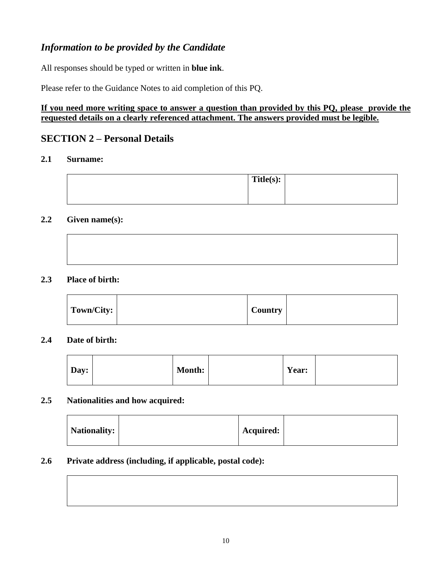# *Information to be provided by the Candidate*

All responses should be typed or written in **blue ink**.

Please refer to the Guidance Notes to aid completion of this PQ.

## **If you need more writing space to answer a question than provided by this PQ, please provide the requested details on a clearly referenced attachment. The answers provided must be legible.**

# **SECTION 2 – Personal Details**

## **2.1 Surname:**

| Title(s): |  |
|-----------|--|
|           |  |
|           |  |

#### **2.2 Given name(s):**



#### **2.3 Place of birth:**

| Town/City: | <b>Country</b> |  |
|------------|----------------|--|
|            |                |  |

#### **2.4 Date of birth:**

| Day:<br><b>Month:</b><br>Year: |  |
|--------------------------------|--|
|--------------------------------|--|

## **2.5 Nationalities and how acquired:**

| Nationality: |  | <b>Acquired:</b> |  |
|--------------|--|------------------|--|
|--------------|--|------------------|--|

#### **2.6 Private address (including, if applicable, postal code):**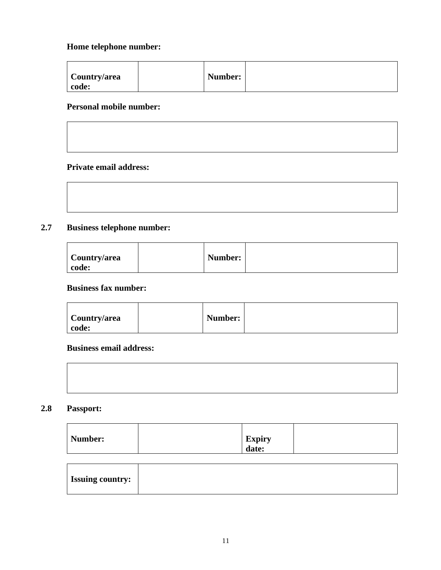## **Home telephone number:**

| Number:<br>Country/area<br>code: |
|----------------------------------|
|----------------------------------|

## **Personal mobile number:**

## **Private email address:**

| 2.7 | <b>Business telephone number:</b> |  |
|-----|-----------------------------------|--|
|     |                                   |  |

| Country/area | Number: |  |
|--------------|---------|--|
| code:        |         |  |

**Business fax number:**

| Country/area | Number: |  |
|--------------|---------|--|
| code:        |         |  |

## **Business email address:**

## **2.8 Passport:**

| Number: | <b>Expiry</b> |  |
|---------|---------------|--|
|         | - 47<br>date: |  |

| <b>Issuing country:</b> |  |
|-------------------------|--|
|                         |  |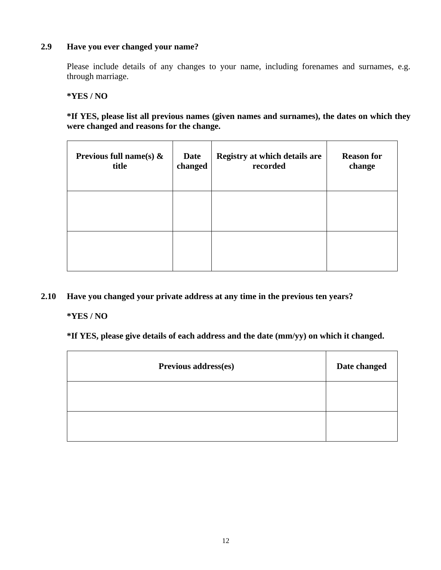#### **2.9 Have you ever changed your name?**

Please include details of any changes to your name, including forenames and surnames, e.g. through marriage.

**\*YES / NO**

**\*If YES, please list all previous names (given names and surnames), the dates on which they were changed and reasons for the change.**

| Previous full name(s) $\&$<br>title | Date<br>changed | Registry at which details are<br>recorded | <b>Reason for</b><br>change |
|-------------------------------------|-----------------|-------------------------------------------|-----------------------------|
|                                     |                 |                                           |                             |
|                                     |                 |                                           |                             |

## **2.10 Have you changed your private address at any time in the previous ten years?**

**\*YES / NO**

**\*If YES, please give details of each address and the date (mm/yy) on which it changed.**

| Previous address(es) | Date changed |
|----------------------|--------------|
|                      |              |
|                      |              |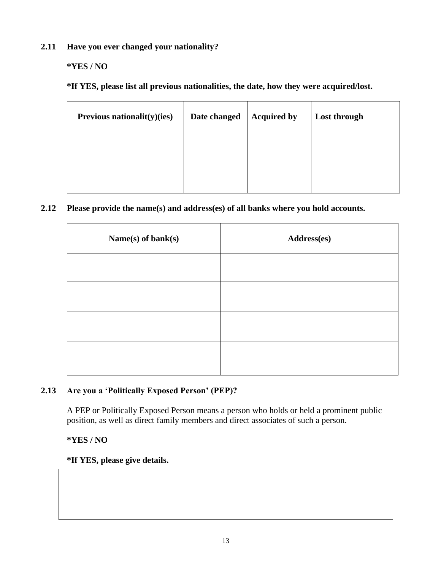**2.11 Have you ever changed your nationality?**

## **\*YES / NO**

**\*If YES, please list all previous nationalities, the date, how they were acquired/lost.**

| Previous nationalit(y)(ies) | Date changed | <b>Acquired by</b> | Lost through |
|-----------------------------|--------------|--------------------|--------------|
|                             |              |                    |              |
|                             |              |                    |              |

### **2.12 Please provide the name(s) and address(es) of all banks where you hold accounts.**

| Name(s) of bank(s) | Address(es) |
|--------------------|-------------|
|                    |             |
|                    |             |
|                    |             |
|                    |             |

## **2.13 Are you a 'Politically Exposed Person' (PEP)?**

A PEP or Politically Exposed Person means a person who holds or held a prominent public position, as well as direct family members and direct associates of such a person.

### **\*YES / NO**

#### **\*If YES, please give details.**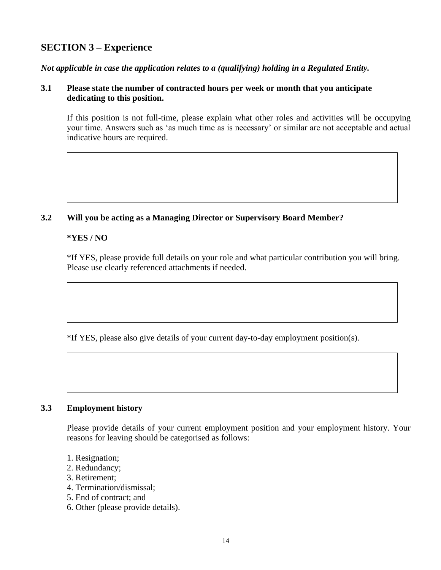# **SECTION 3 – Experience**

*Not applicable in case the application relates to a (qualifying) holding in a Regulated Entity.*

#### **3.1 Please state the number of contracted hours per week or month that you anticipate dedicating to this position.**

If this position is not full-time, please explain what other roles and activities will be occupying your time. Answers such as 'as much time as is necessary' or similar are not acceptable and actual indicative hours are required.

#### **3.2 Will you be acting as a Managing Director or Supervisory Board Member?**

#### **\*YES / NO**

\*If YES, please provide full details on your role and what particular contribution you will bring. Please use clearly referenced attachments if needed.

\*If YES, please also give details of your current day-to-day employment position(s).

#### **3.3 Employment history**

Please provide details of your current employment position and your employment history. Your reasons for leaving should be categorised as follows:

- 1. Resignation;
- 2. Redundancy;
- 3. Retirement;
- 4. Termination/dismissal;
- 5. End of contract; and
- 6. Other (please provide details).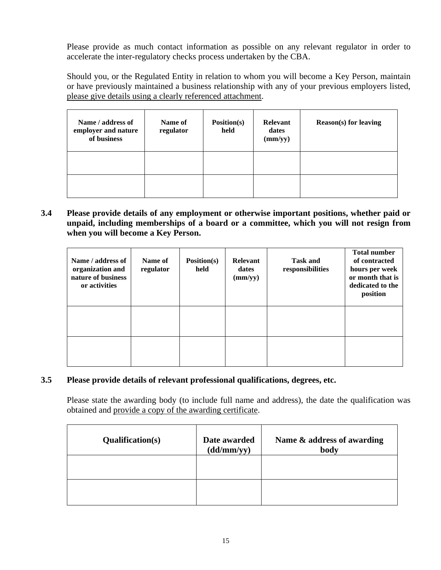Please provide as much contact information as possible on any relevant regulator in order to accelerate the inter-regulatory checks process undertaken by the CBA.

Should you, or the Regulated Entity in relation to whom you will become a Key Person, maintain or have previously maintained a business relationship with any of your previous employers listed, please give details using a clearly referenced attachment.

| Name / address of<br>employer and nature<br>of business | Name of<br>regulator | Position(s)<br>held | Relevant<br>dates<br>(mm/yy) | <b>Reason(s)</b> for leaving |
|---------------------------------------------------------|----------------------|---------------------|------------------------------|------------------------------|
|                                                         |                      |                     |                              |                              |
|                                                         |                      |                     |                              |                              |

**3.4 Please provide details of any employment or otherwise important positions, whether paid or unpaid, including memberships of a board or a committee, which you will not resign from when you will become a Key Person.**

| Name / address of<br>organization and<br>nature of business<br>or activities | Name of<br>regulator | Position(s)<br>held | <b>Relevant</b><br>dates<br>(mm/yy) | <b>Task and</b><br>responsibilities | <b>Total number</b><br>of contracted<br>hours per week<br>or month that is<br>dedicated to the<br>position |
|------------------------------------------------------------------------------|----------------------|---------------------|-------------------------------------|-------------------------------------|------------------------------------------------------------------------------------------------------------|
|                                                                              |                      |                     |                                     |                                     |                                                                                                            |
|                                                                              |                      |                     |                                     |                                     |                                                                                                            |

## **3.5 Please provide details of relevant professional qualifications, degrees, etc.**

Please state the awarding body (to include full name and address), the date the qualification was obtained and provide a copy of the awarding certificate.

| <b>Qualification(s)</b> | Date awarded<br>(dd/mm/yy) | Name & address of awarding<br>body |
|-------------------------|----------------------------|------------------------------------|
|                         |                            |                                    |
|                         |                            |                                    |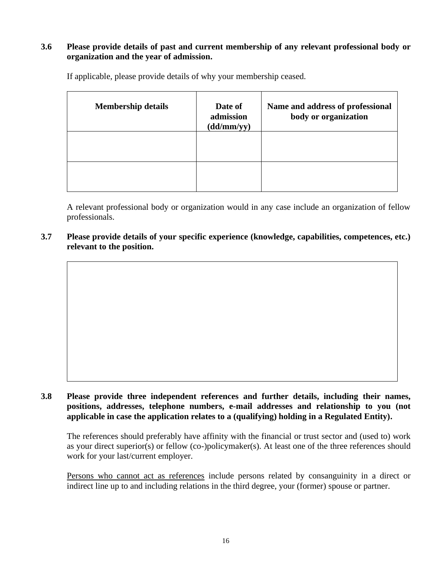#### **3.6 Please provide details of past and current membership of any relevant professional body or organization and the year of admission.**

| <b>Membership details</b> | Date of<br>admission<br>(dd/mm/yy) | Name and address of professional<br>body or organization |
|---------------------------|------------------------------------|----------------------------------------------------------|
|                           |                                    |                                                          |
|                           |                                    |                                                          |

If applicable, please provide details of why your membership ceased.

A relevant professional body or organization would in any case include an organization of fellow professionals.

**3.7 Please provide details of your specific experience (knowledge, capabilities, competences, etc.) relevant to the position.** 

# **3.8 Please provide three independent references and further details, including their names, positions, addresses, telephone numbers, e-mail addresses and relationship to you (not applicable in case the application relates to a (qualifying) holding in a Regulated Entity).**

The references should preferably have affinity with the financial or trust sector and (used to) work as your direct superior(s) or fellow (co-)policymaker(s). At least one of the three references should work for your last/current employer.

Persons who cannot act as references include persons related by consanguinity in a direct or indirect line up to and including relations in the third degree, your (former) spouse or partner.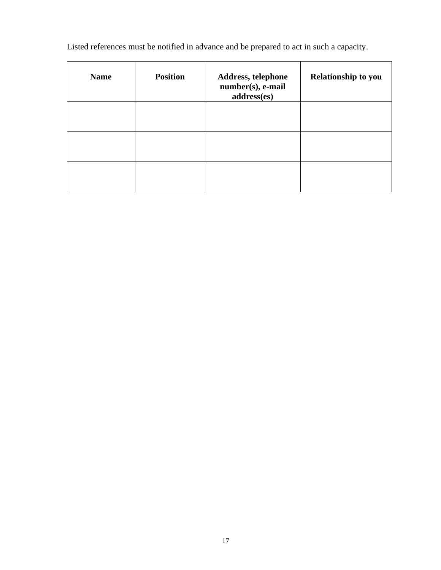Listed references must be notified in advance and be prepared to act in such a capacity.

| <b>Name</b> | <b>Position</b> | Address, telephone<br>number(s), e-mail<br>address(es) | <b>Relationship to you</b> |
|-------------|-----------------|--------------------------------------------------------|----------------------------|
|             |                 |                                                        |                            |
|             |                 |                                                        |                            |
|             |                 |                                                        |                            |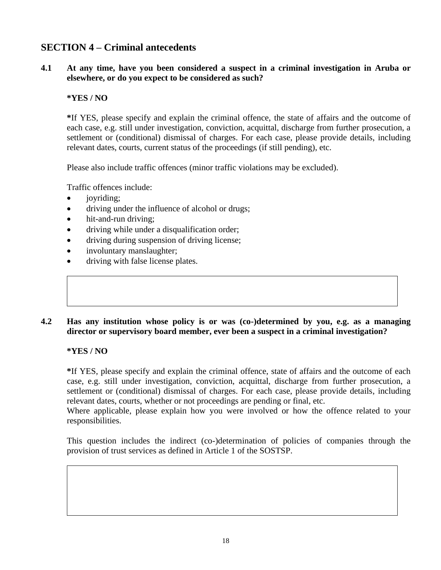# **SECTION 4 – Criminal antecedents**

#### **4.1 At any time, have you been considered a suspect in a criminal investigation in Aruba or elsewhere, or do you expect to be considered as such?**

#### **\*YES / NO**

**\***If YES, please specify and explain the criminal offence, the state of affairs and the outcome of each case, e.g. still under investigation, conviction, acquittal, discharge from further prosecution, a settlement or (conditional) dismissal of charges. For each case, please provide details, including relevant dates, courts, current status of the proceedings (if still pending), etc.

Please also include traffic offences (minor traffic violations may be excluded).

Traffic offences include:

- *joyriding*;
- driving under the influence of alcohol or drugs;
- hit-and-run driving:
- driving while under a disqualification order;
- driving during suspension of driving license;
- involuntary manslaughter;
- driving with false license plates.

#### **4.2 Has any institution whose policy is or was (co-)determined by you, e.g. as a managing director or supervisory board member, ever been a suspect in a criminal investigation?**

#### **\*YES / NO**

**\***If YES, please specify and explain the criminal offence, state of affairs and the outcome of each case, e.g. still under investigation, conviction, acquittal, discharge from further prosecution, a settlement or (conditional) dismissal of charges. For each case, please provide details, including relevant dates, courts, whether or not proceedings are pending or final, etc.

Where applicable, please explain how you were involved or how the offence related to your responsibilities.

This question includes the indirect (co-)determination of policies of companies through the provision of trust services as defined in Article 1 of the SOSTSP.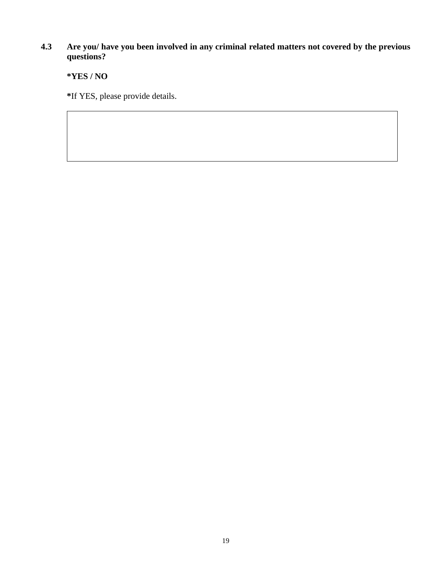#### **4.3 Are you/ have you been involved in any criminal related matters not covered by the previous questions?**

**\*YES / NO**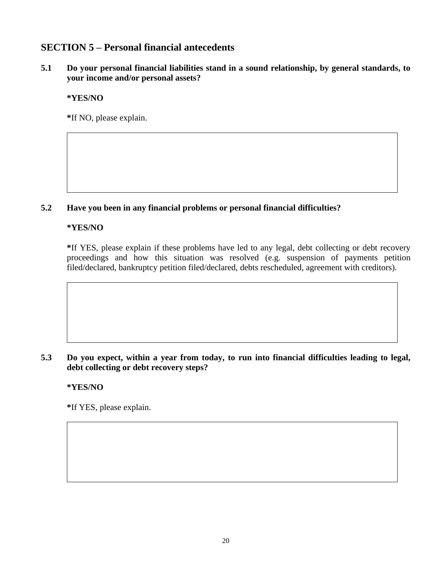# **SECTION 5 – Personal financial antecedents**

**5.1 Do your personal financial liabilities stand in a sound relationship, by general standards, to your income and/or personal assets?**

**\*YES/NO**

**\***If NO, please explain.

### **5.2 Have you been in any financial problems or personal financial difficulties?**

#### **\*YES/NO**

**\***If YES, please explain if these problems have led to any legal, debt collecting or debt recovery proceedings and how this situation was resolved (e.g. suspension of payments petition filed/declared, bankruptcy petition filed/declared, debts rescheduled, agreement with creditors).

**5.3 Do you expect, within a year from today, to run into financial difficulties leading to legal, debt collecting or debt recovery steps?**

### **\*YES/NO**

**\***If YES, please explain.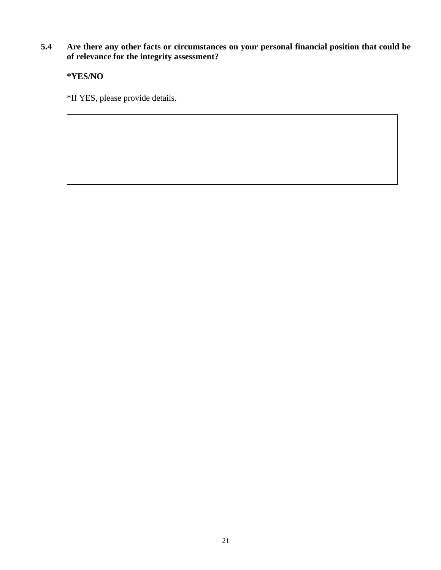# **5.4 Are there any other facts or circumstances on your personal financial position that could be of relevance for the integrity assessment?**

**\*YES/NO**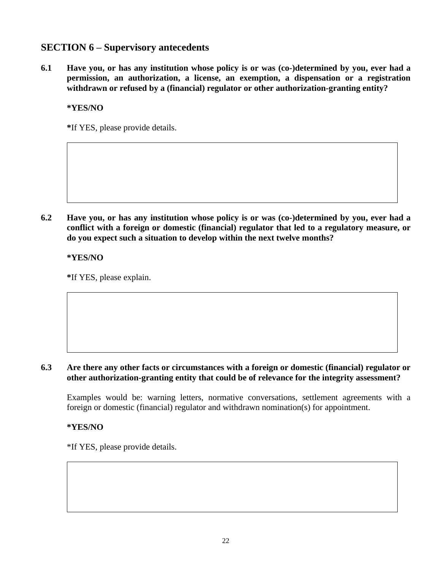# **SECTION 6 – Supervisory antecedents**

**6.1 Have you, or has any institution whose policy is or was (co-)determined by you, ever had a permission, an authorization, a license, an exemption, a dispensation or a registration withdrawn or refused by a (financial) regulator or other authorization-granting entity?** 

#### **\*YES/NO**

**\***If YES, please provide details.

**6.2 Have you, or has any institution whose policy is or was (co-)determined by you, ever had a conflict with a foreign or domestic (financial) regulator that led to a regulatory measure, or do you expect such a situation to develop within the next twelve months?**

**\*YES/NO**

**\***If YES, please explain.

#### **6.3 Are there any other facts or circumstances with a foreign or domestic (financial) regulator or other authorization-granting entity that could be of relevance for the integrity assessment?**

Examples would be: warning letters, normative conversations, settlement agreements with a foreign or domestic (financial) regulator and withdrawn nomination(s) for appointment.

#### **\*YES/NO**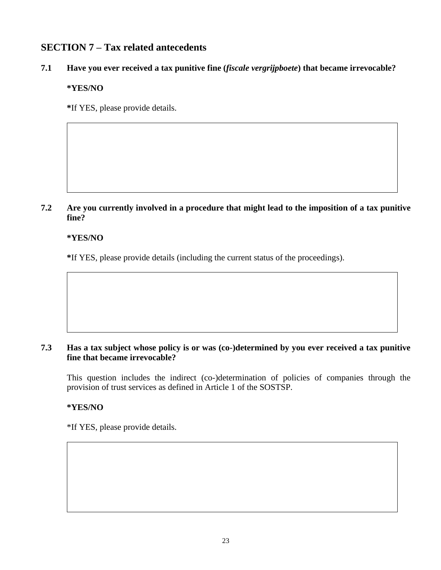# **SECTION 7 – Tax related antecedents**

# **7.1 Have you ever received a tax punitive fine (***fiscale vergrijpboete***) that became irrevocable?**

## **\*YES/NO**

**\***If YES, please provide details.

**7.2 Are you currently involved in a procedure that might lead to the imposition of a tax punitive fine?**

## **\*YES/NO**

**\***If YES, please provide details (including the current status of the proceedings).

#### **7.3 Has a tax subject whose policy is or was (co-)determined by you ever received a tax punitive fine that became irrevocable?**

This question includes the indirect (co-)determination of policies of companies through the provision of trust services as defined in Article 1 of the SOSTSP.

### **\*YES/NO**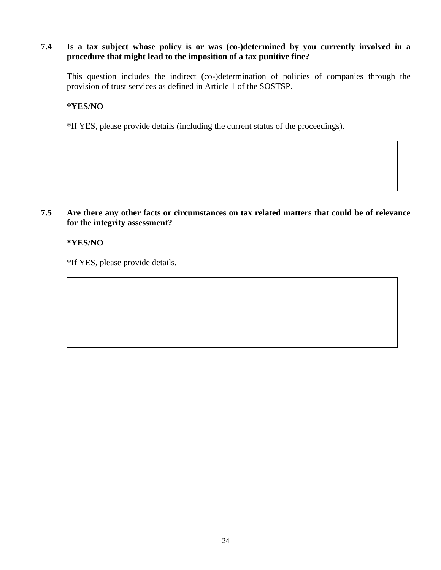#### **7.4 Is a tax subject whose policy is or was (co-)determined by you currently involved in a procedure that might lead to the imposition of a tax punitive fine?**

This question includes the indirect (co-)determination of policies of companies through the provision of trust services as defined in Article 1 of the SOSTSP.

#### **\*YES/NO**

\*If YES, please provide details (including the current status of the proceedings).

#### **7.5 Are there any other facts or circumstances on tax related matters that could be of relevance for the integrity assessment?**

#### **\*YES/NO**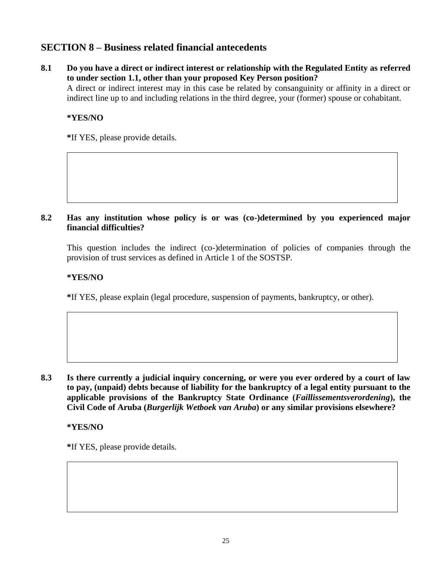# **SECTION 8 – Business related financial antecedents**

**8.1 Do you have a direct or indirect interest or relationship with the Regulated Entity as referred to under section 1.1, other than your proposed Key Person position?**

A direct or indirect interest may in this case be related by consanguinity or affinity in a direct or indirect line up to and including relations in the third degree, your (former) spouse or cohabitant.

### **\*YES/NO**

**\***If YES, please provide details.

#### **8.2 Has any institution whose policy is or was (co-)determined by you experienced major financial difficulties?**

This question includes the indirect (co-)determination of policies of companies through the provision of trust services as defined in Article 1 of the SOSTSP.

#### **\*YES/NO**

**\***If YES, please explain (legal procedure, suspension of payments, bankruptcy, or other).

**8.3 Is there currently a judicial inquiry concerning, or were you ever ordered by a court of law to pay, (unpaid) debts because of liability for the bankruptcy of a legal entity pursuant to the applicable provisions of the Bankruptcy State Ordinance (***Faillissementsverordening***), the Civil Code of Aruba (***Burgerlijk Wetboek van Aruba***) or any similar provisions elsewhere?** 

**\*YES/NO**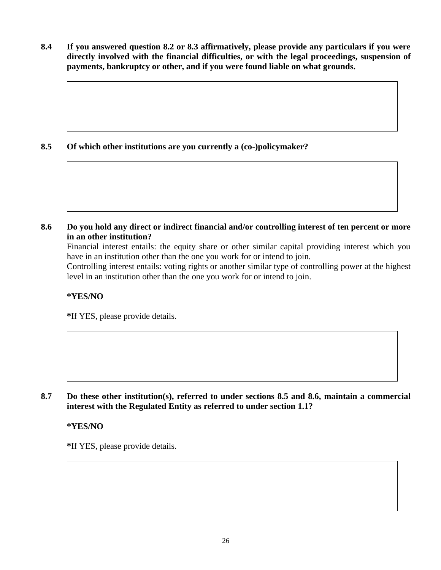**8.4 If you answered question 8.2 or 8.3 affirmatively, please provide any particulars if you were directly involved with the financial difficulties, or with the legal proceedings, suspension of payments, bankruptcy or other, and if you were found liable on what grounds.**

## **8.5 Of which other institutions are you currently a (co-)policymaker?**

**8.6 Do you hold any direct or indirect financial and/or controlling interest of ten percent or more in an other institution?**

Financial interest entails: the equity share or other similar capital providing interest which you have in an institution other than the one you work for or intend to join.

Controlling interest entails: voting rights or another similar type of controlling power at the highest level in an institution other than the one you work for or intend to join.

### **\*YES/NO**

**\***If YES, please provide details.

**8.7 Do these other institution(s), referred to under sections 8.5 and 8.6, maintain a commercial interest with the Regulated Entity as referred to under section 1.1?**

**\*YES/NO**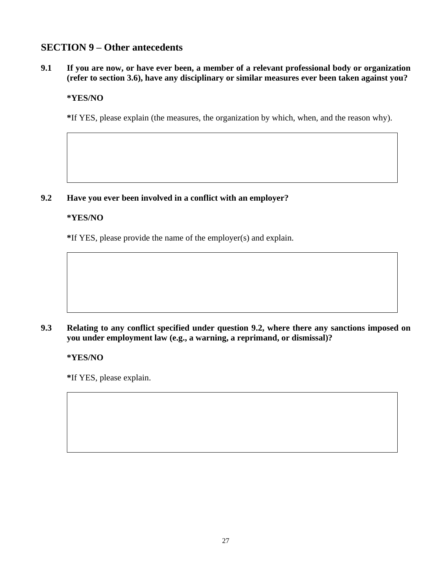# **SECTION 9 – Other antecedents**

**9.1 If you are now, or have ever been, a member of a relevant professional body or organization (refer to section 3.6), have any disciplinary or similar measures ever been taken against you?**

#### **\*YES/NO**

**\***If YES, please explain (the measures, the organization by which, when, and the reason why).

#### **9.2 Have you ever been involved in a conflict with an employer?**

#### **\*YES/NO**

**\***If YES, please provide the name of the employer(s) and explain.

#### **9.3 Relating to any conflict specified under question 9.2, where there any sanctions imposed on you under employment law (e.g., a warning, a reprimand, or dismissal)?**

#### **\*YES/NO**

**\***If YES, please explain.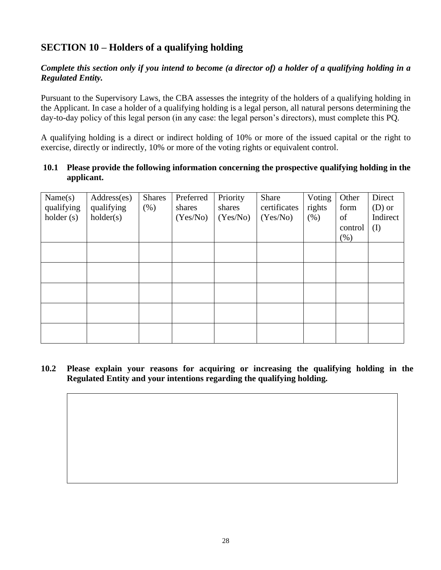# **SECTION 10 – Holders of a qualifying holding**

## *Complete this section only if you intend to become (a director of) a holder of a qualifying holding in a Regulated Entity.*

Pursuant to the Supervisory Laws, the CBA assesses the integrity of the holders of a qualifying holding in the Applicant. In case a holder of a qualifying holding is a legal person, all natural persons determining the day-to-day policy of this legal person (in any case: the legal person's directors), must complete this PQ.

A qualifying holding is a direct or indirect holding of 10% or more of the issued capital or the right to exercise, directly or indirectly, 10% or more of the voting rights or equivalent control.

### **10.1 Please provide the following information concerning the prospective qualifying holding in the applicant.**

| Name(s)<br>qualifying<br>holder(s) | Address(es)<br>qualifying<br>holder(s) | <b>Shares</b><br>(% ) | Preferred<br>shares<br>(Yes/No) | Priority<br>shares<br>(Yes/No) | Share<br>certificates<br>(Yes/No) | Voting<br>rights<br>(% ) | Other<br>form<br>of<br>control<br>(% ) | Direct<br>$(D)$ or<br>Indirect<br>(I) |
|------------------------------------|----------------------------------------|-----------------------|---------------------------------|--------------------------------|-----------------------------------|--------------------------|----------------------------------------|---------------------------------------|
|                                    |                                        |                       |                                 |                                |                                   |                          |                                        |                                       |
|                                    |                                        |                       |                                 |                                |                                   |                          |                                        |                                       |
|                                    |                                        |                       |                                 |                                |                                   |                          |                                        |                                       |
|                                    |                                        |                       |                                 |                                |                                   |                          |                                        |                                       |
|                                    |                                        |                       |                                 |                                |                                   |                          |                                        |                                       |

**10.2 Please explain your reasons for acquiring or increasing the qualifying holding in the Regulated Entity and your intentions regarding the qualifying holding.**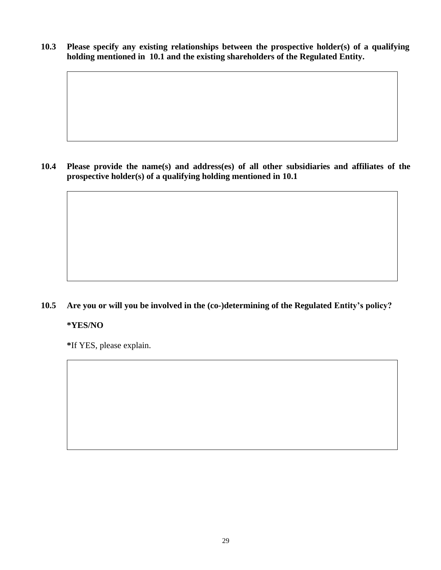**10.3 Please specify any existing relationships between the prospective holder(s) of a qualifying holding mentioned in 10.1 and the existing shareholders of the Regulated Entity.**

**10.4 Please provide the name(s) and address(es) of all other subsidiaries and affiliates of the prospective holder(s) of a qualifying holding mentioned in 10.1**

## **10.5 Are you or will you be involved in the (co-)determining of the Regulated Entity's policy?**

#### **\*YES/NO**

**\***If YES, please explain.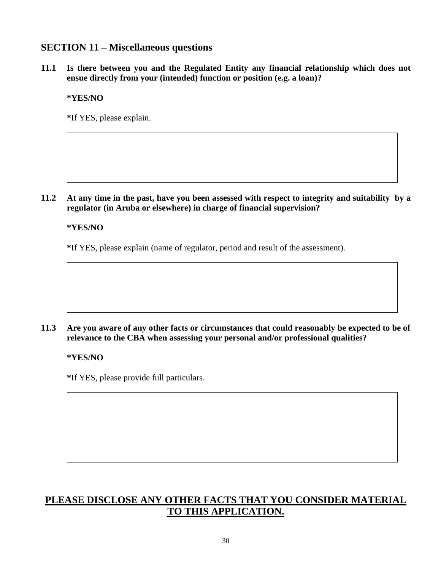# **SECTION 11 – Miscellaneous questions**

**11.1 Is there between you and the Regulated Entity any financial relationship which does not ensue directly from your (intended) function or position (e.g. a loan)?** 

**\*YES/NO**

**\***If YES, please explain.

**11.2 At any time in the past, have you been assessed with respect to integrity and suitability by a regulator (in Aruba or elsewhere) in charge of financial supervision?** 

**\*YES/NO**

**\***If YES, please explain (name of regulator, period and result of the assessment).

#### **11.3 Are you aware of any other facts or circumstances that could reasonably be expected to be of relevance to the CBA when assessing your personal and/or professional qualities?**

#### **\*YES/NO**

**\***If YES, please provide full particulars.

# **PLEASE DISCLOSE ANY OTHER FACTS THAT YOU CONSIDER MATERIAL TO THIS APPLICATION.**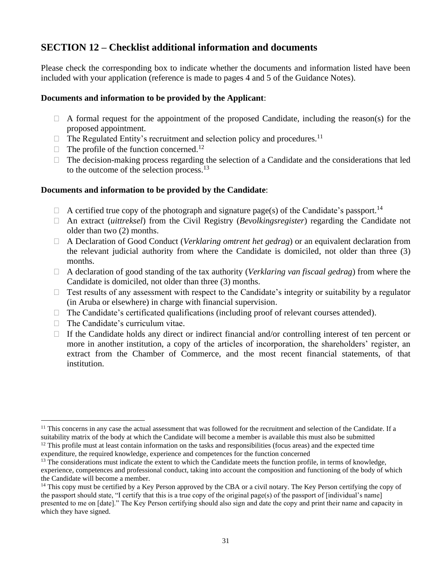# **SECTION 12 – Checklist additional information and documents**

Please check the corresponding box to indicate whether the documents and information listed have been included with your application (reference is made to pages 4 and 5 of the Guidance Notes).

#### **Documents and information to be provided by the Applicant**:

- $\Box$  A formal request for the appointment of the proposed Candidate, including the reason(s) for the proposed appointment.
- $\Box$  The Regulated Entity's recruitment and selection policy and procedures.<sup>11</sup>
- $\Box$  The profile of the function concerned.<sup>12</sup>
- $\Box$  The decision-making process regarding the selection of a Candidate and the considerations that led to the outcome of the selection process.<sup>13</sup>

#### **Documents and information to be provided by the Candidate**:

- $\Box$  A certified true copy of the photograph and signature page(s) of the Candidate's passport.<sup>14</sup>
- An extract (*uittreksel*) from the Civil Registry (*Bevolkingsregister*) regarding the Candidate not older than two (2) months.
- A Declaration of Good Conduct (*Verklaring omtrent het gedrag*) or an equivalent declaration from the relevant judicial authority from where the Candidate is domiciled, not older than three (3) months.
- A declaration of good standing of the tax authority (*Verklaring van fiscaal gedrag*) from where the Candidate is domiciled, not older than three (3) months.
- $\Box$  Test results of any assessment with respect to the Candidate's integrity or suitability by a regulator (in Aruba or elsewhere) in charge with financial supervision.
- $\Box$  The Candidate's certificated qualifications (including proof of relevant courses attended).
- $\Box$  The Candidate's curriculum vitae.
- $\Box$  If the Candidate holds any direct or indirect financial and/or controlling interest of ten percent or more in another institution, a copy of the articles of incorporation, the shareholders' register, an extract from the Chamber of Commerce, and the most recent financial statements, of that institution.

<sup>&</sup>lt;sup>11</sup> This concerns in any case the actual assessment that was followed for the recruitment and selection of the Candidate. If a suitability matrix of the body at which the Candidate will become a member is available this must also be submitted

 $12$  This profile must at least contain information on the tasks and responsibilities (focus areas) and the expected time expenditure, the required knowledge, experience and competences for the function concerned

 $<sup>13</sup>$  The considerations must indicate the extent to which the Candidate meets the function profile, in terms of knowledge,</sup> experience, competences and professional conduct, taking into account the composition and functioning of the body of which the Candidate will become a member.

 $14$  This copy must be certified by a Key Person approved by the CBA or a civil notary. The Key Person certifying the copy of the passport should state, "I certify that this is a true copy of the original page(s) of the passport of [individual's name] presented to me on [date]." The Key Person certifying should also sign and date the copy and print their name and capacity in which they have signed.